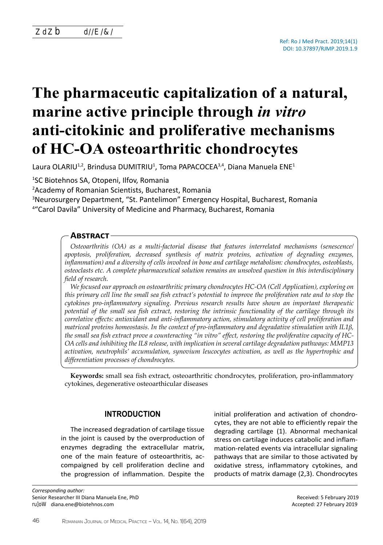# **The pharmaceutic capitalization of a natural, marine active principle through** *in vitro* **anti-citokinic and proliferative mechanisms of HC-OA osteoarthritic chondrocytes**

Laura OLARIU<sup>1,2</sup>, Brindusa DUMITRIU<sup>1</sup>, Toma PAPACOCEA<sup>3,4</sup>, Diana Manuela ENE<sup>1</sup>

<sup>1</sup>SC Biotehnos SA, Otopeni, Ilfov, Romania

<sup>2</sup>Academy of Romanian Scientists, Bucharest, Romania

<sup>3</sup>Neurosurgery Department, "St. Pantelimon" Emergency Hospital, Bucharest, Romania 4 "Carol Davila" University of Medicine and Pharmacy, Bucharest, Romania

## **Abstract**

*Osteoarthritis (OA) as a multi-factorial disease that features interrelated mechanisms (senescence/ apoptosis, proliferation, decreased synthesis of matrix proteins, activation of degrading enzymes, inflammation) and a diversity of cells involved in bone and cartilage metabolism: chondrocytes, osteoblasts, osteoclasts etc. A complete pharmaceutical solution remains an unsolved question in this interdisciplinary field of research.* 

*We focused our approach on osteoarthritic primary chondrocytes HC-OA (Cell Application), exploring on this primary cell line the small sea fish extract's potential to improve the proliferation rate and to stop the cytokines pro-inflammatory signaling. Previous research results have shown an important therapeutic potential of the small sea fish extract, restoring the intrinsic functionality of the cartilage through its correlative effects: antioxidant and anti-inflammatory action, stimulatory activity of cell proliferation and matriceal proteins homeostasis. In the context of pro-inflammatory and degradative stimulation with IL1β, the small sea fish extract prove a counteracting "in vitro" effect, restoring the proliferative capacity of HC-OA cells and inhibiting the IL8 release, with implication in several cartilage degradation pathways: MMP13 activation, neutrophils' accumulation, synovium leucocytes activation, as well as the hypertrophic and differentiation processes of chondrocytes.*

**Keywords:** small sea fish extract, osteoarthritic chondrocytes, proliferation, pro-inflammatory cytokines, degenerative osteoarthicular diseases

# **INTRODUCTION**

The increased degradation of cartilage tissue in the joint is caused by the overproduction of enzymes degrading the extracellular matrix, one of the main feature of osteoarthritis, accompaigned by cell proliferation decline and the progression of inflammation. Despite the

*Corresponding author:*  Senior Researcher III Diana Manuela Ene, PhD E-mail: diana.ene@biotehnos.com

initial proliferation and activation of chondrocytes, they are not able to efficiently repair the degrading cartilage (1). Abnormal mechanical stress on cartilage induces catabolic and inflammation-related events via intracellular signaling pathways that are similar to those activated by oxidative stress, inflammatory cytokines, and products of matrix damage (2,3). Chondrocytes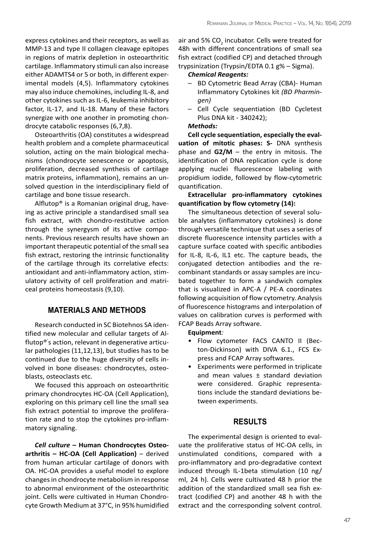express cytokines and their receptors, as well as MMP-13 and type II collagen cleavage epitopes in regions of matrix depletion in osteoarthritic cartilage. Inflammatory stimuli can also increase either ADAMTS4 or 5 or both, in different experimental models (4,5). Inflammatory cytokines may also induce chemokines, including IL-8, and other cytokines such as IL-6, leukemia inhibitory factor, IL-17, and IL-18. Many of these factors synergize with one another in promoting chondrocyte catabolic responses (6,7,8).

Osteoarthritis (OA) constitutes a widespread health problem and a complete pharmaceutical solution, acting on the main biological mechanisms (chondrocyte senescence or apoptosis, proliferation, decreased synthesis of cartilage matrix proteins, inflammation), remains an unsolved question in the interdisciplinary field of cartilage and bone tissue research.

Alflutop® is a Romanian original drug, haveing as active principle a standardised small sea fish extract, with chondro-restitutive action through the synergysm of its active components. Previous research results have shown an important therapeutic potential of the small sea fish extract, restoring the intrinsic functionality of the cartilage through its correlative efects: antioxidant and anti-inflammatory action, stimulatory activity of cell proliferation and matriceal proteins homeostasis (9,10).

# **MATERIALS AND METHODS**

Research conducted in SC Biotehnos SA identified new molecular and cellular targets of Alflutop®' s action, relevant in degenerative articular pathologies (11,12,13), but studies has to be continued due to the huge diversity of cells involved in bone diseases: chondrocytes, osteoblasts, osteoclasts etc.

We focused this approach on osteoarthritic primary chondrocytes HC-OA (Cell Application), exploring on this primary cell line the small sea fish extract potential to improve the proliferation rate and to stop the cytokines pro-inflammatory signaling.

*Cell culture* **– Human Chondrocytes Osteoarthritis – HC-OA (Cell Application)** – derived from human articular cartilage of donors with OA. HC-OA provides a useful model to explore changes in chondrocyte metabolism in response to abnormal environment of the osteoarthritic joint. Cells were cultivated in Human Chondrocyte Growth Medium at 37°C, in 95% humidified

air and 5% CO<sub>2</sub> incubator. Cells were treated for 48h with different concentrations of small sea fish extract (codified CP) and detached through trypsinization (Trypsin/EDTA 0.1 g% – Sigma).

## *Chemical Reagents:*

- BD Cytometric Bead Array (CBA)- Human Inflammatory Cytokines kit *(BD Pharmingen)*
- Cell Cycle sequentiation (BD Cycletest Plus DNA kit - 340242);

## *Methods:*

**Cell cycle sequentiation, especially the evaluation of mitotic phases: S-** DNA synthesis phase and **G2/M** – the entry in mitosis. The identification of DNA replication cycle is done applying nuclei fluorescence labeling with propidium iodide, followed by flow-cytometric quantification.

## **Extracellular pro-inflammatory cytokines quantification by flow cytometry (14):**

The simultaneous detection of several soluble analytes (inflammatory cytokines) is done through versatile technique that uses a series of discrete fluorescence intensity particles with a capture surface coated with specific antibodies for IL-8, IL-6, IL1 etc. The capture beads, the conjugated detection antibodies and the recombinant standards or assay samples are incubated together to form a sandwich complex that is visualized in APC-A / PE-A coordinates following acquisition of flow cytometry. Analysis of fluorescence histograms and interpolation of values on calibration curves is performed with FCAP Beads Array software.

#### **Equipment***:*

- Flow cytometer FACS CANTO II (Becton-Dickinson) with DIVA 6.1., FCS Express and FCAP Array softwares.
- Experiments were performed in triplicate and mean values ± standard deviation were considered. Graphic representations include the standard deviations between experiments.

## **RESULTS**

The experimental design is oriented to evaluate the proliferative status of HC-OA cells, in unstimulated conditions, compared with a pro-inflammatory and pro-degradative context induced through IL-1beta stimulation (10 ng/ ml, 24 h). Cells were cultivated 48 h prior the addition of the standardized small sea fish extract (codified CP) and another 48 h with the extract and the corresponding solvent control.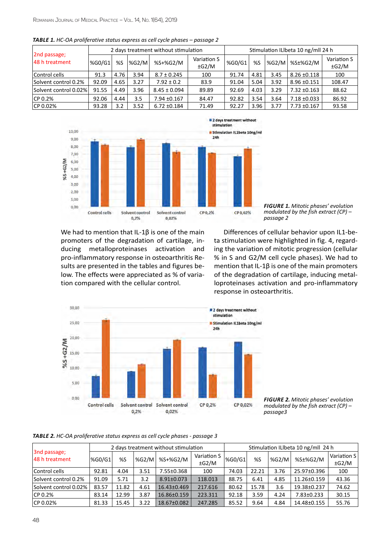| 2nd passage;<br>48 h treatment |              |      |       | 2 days treatment without stimulation |                           | Stimulation ILIbeta 10 ng/mll 24 h |      |       |                  |                           |  |
|--------------------------------|--------------|------|-------|--------------------------------------|---------------------------|------------------------------------|------|-------|------------------|---------------------------|--|
|                                | %G0/G1<br>%S |      | %G2/M | %S+%G2/M                             | Variation S<br>$\pm$ G2/M | %G0/G1                             | %S   | %G2/M | %S±%G2/M         | Variation S<br>$\pm$ G2/M |  |
| Control cells                  | 91.3         | 4.76 | 3.94  | $8.7 \pm 0.245$                      | 100                       | 91.74                              | 4.81 | 3.45  | $8.26 \pm 0.118$ | 100                       |  |
| Solvent control 0.2%           | 92.09        | 4.65 | 3.27  | $7.92 \pm 0.2$                       | 83.9                      | 91.04                              | 5.04 | 3.92  | $8.96 \pm 0.151$ | 108.47                    |  |
| Solvent control 0.02%          | 91.55        | 4.49 | 3.96  | $8.45 \pm 0.094$                     | 89.89                     | 92.69                              | 4.03 | 3.29  | $7.32 \pm 0.163$ | 88.62                     |  |
| CP 0.2%                        | 92.06        | 4.44 | 3.5   | 7.94 ±0.167                          | 84.47                     | 92.82                              | 3.54 | 3.64  | $7.18 \pm 0.033$ | 86.92                     |  |
| CP 0.02%                       | 93.28        | 3.2  | 3.52  | $6.72 \pm 0.184$                     | 71.49                     | 92.27                              | 3.96 | 3.77  | $7.73 \pm 0.167$ | 93.58                     |  |





*Figure 1. Mitotic phases' evolution modulated by the fish extract (CP) – passage 2*

We had to mention that IL-1β is one of the main promoters of the degradation of cartilage, inducing metalloproteinases activation and pro-inflammatory response in osteoarthritis Results are presented in the tables and figures below. The effects were appreciated as % of variation compared with the cellular control.

Differences of cellular behavior upon IL1-beta stimulation were highlighted in fig. 4, regarding the variation of mitotic progression (cellular % in S and G2/M cell cycle phases). We had to mention that IL-1β is one of the main promoters of the degradation of cartilage, inducing metalloproteinases activation and pro-inflammatory response in osteoarthritis.



*Figure 2. Mitotic phases' evolution modulated by the fish extract (CP) – passage3*

#### *Table 2. HC-OA proliferative status express as cell cycle phases - passage 3*

| 3nd passage;<br>48 h treatment |        |       |       | 2 days treatment without stimulation  |         | Stimulation ILIbeta 10 ng/mll 24 h |       |       |                   |                           |  |  |
|--------------------------------|--------|-------|-------|---------------------------------------|---------|------------------------------------|-------|-------|-------------------|---------------------------|--|--|
|                                | %G0/G1 | %S    | %G2/M | Variation S<br>%S+%G2/M<br>$\pm$ G2/M |         | %G0/G1                             | %S    | %G2/M | %S±%G2/M          | Variation S<br>$\pm$ G2/M |  |  |
| Control cells                  | 92.81  | 4.04  | 3.51  | 7.55±0.368                            | 100     | 74.03                              | 22.21 | 3.76  | 25.97±0.396       | 100                       |  |  |
| Solvent control 0.2%           | 91.09  | 5.71  | 3.2   | $8.91 \pm 0.073$                      | 118.013 | 88.75                              | 6.41  | 4.85  | $11.26 \pm 0.159$ | 43.36                     |  |  |
| Solvent control 0.02%          | 83.57  | 11.82 | 4.61  | 16.43±0.469                           | 217.616 | 80.62                              | 15.78 | 3.6   | 19.38±0.237       | 74.62                     |  |  |
| CP 0.2%                        | 83.14  | 12.99 | 3.87  | 16.86±0.159                           | 223.311 | 92.18                              | 3.59  | 4.24  | 7.83±0.233        | 30.15                     |  |  |
| CP 0.02%                       | 81.33  | 15.45 | 3.22  | 18.67±0.082                           | 247.285 | 85.52                              | 9.64  | 4.84  | 14.48±0.155       | 55.76                     |  |  |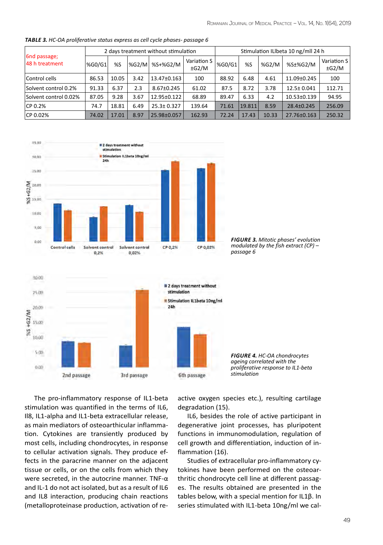| 6nd passage;<br>48 h treatment |               |       |        | 2 days treatment without stimulation |                           | Stimulation ILIbeta 10 ng/mll 24 h |        |       |                  |                           |  |  |
|--------------------------------|---------------|-------|--------|--------------------------------------|---------------------------|------------------------------------|--------|-------|------------------|---------------------------|--|--|
|                                | <b>%G0/G1</b> | %S    | l%G2/M | %S+%G2/M                             | Variation S<br>$\pm$ G2/M | %G0/G1                             | %S     | %G2/M | %S±%G2/M         | Variation S<br>$\pm$ G2/M |  |  |
| Control cells                  | 86.53         | 10.05 | 3.42   | 13.47±0.163                          | 100                       | 88.92                              | 6.48   | 4.61  | 11.09±0.245      | 100                       |  |  |
| Solvent control 0.2%           | 91.33         | 6.37  | 2.3    | 8.67±0.245                           | 61.02                     | 87.5                               | 8.72   | 3.78  | 12.5± 0.041      | 112.71                    |  |  |
| Solvent control 0.02%          | 87.05         | 9.28  | 3.67   | 12.95±0.122                          | 68.89                     | 89.47                              | 6.33   | 4.2   | 10.53±0.139      | 94.95                     |  |  |
| CP 0.2%                        | 74.7          | 18.81 | 6.49   | $25.3 \pm 0.327$                     | 139.64                    | 71.61                              | 19.811 | 8.59  | $28.4 \pm 0.245$ | 256.09                    |  |  |
| CP 0.02%                       | 74.02         | 17.01 | 8.97   | 25.98±0.057                          | 162.93                    | 72.24                              | 17.43  | 10.33 | 27.76±0.163      | 250.32                    |  |  |

*Table 3. HC-OA proliferative status express as cell cycle phases- passage 6*





*Figure 3. Mitotic phases' evolution modulated by the fish extract (CP) – passage 6*

*Figure 4. HC-OA chondrocytes ageing correlated with the proliferative response to IL1-beta stimulation*

The pro-inflammatory response of IL1-beta stimulation was quantified in the terms of IL6, Il8, IL1-alpha and IL1-beta extracellular release, as main mediators of osteoarthicular inflammation. Cytokines are transiently produced by most cells, including chondrocytes, in response to cellular activation signals. They produce effects in the paracrine manner on the adjacent tissue or cells, or on the cells from which they were secreted, in the autocrine manner. TNF-α and IL-1 do not act isolated, but as a result of IL6 and IL8 interaction, producing chain reactions (metalloproteinase production, activation of reactive oxygen species etc.), resulting cartilage degradation (15).

IL6, besides the role of active participant in degenerative joint processes, has pluripotent functions in immunomodulation, regulation of cell growth and differentiation, induction of inflammation (16).

Studies of extracellular pro-inflammatory cytokines have been performed on the osteoarthritic chondrocyte cell line at different passages. The results obtained are presented in the tables below, with a special mention for IL1β. In series stimulated with IL1-beta 10ng/ml we cal-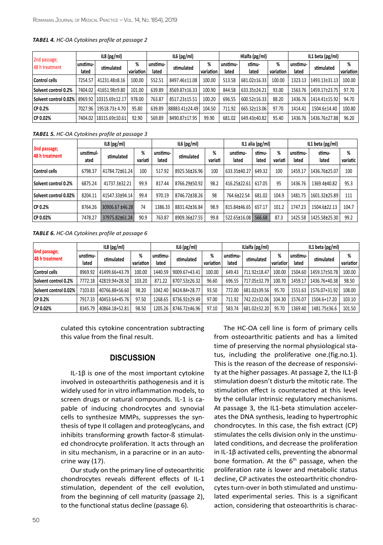| 2nd passage;<br>48 h treatment |                   | IL8(pg/ml)             |                |                   | IL6(pg/ml)     |                |                   | Hlalfa (pg/ml)  |                | IL1 beta (pg/ml)  |                |                  |  |
|--------------------------------|-------------------|------------------------|----------------|-------------------|----------------|----------------|-------------------|-----------------|----------------|-------------------|----------------|------------------|--|
|                                | unstimu-<br>lated | stimulated             | %<br>variation | unstimu-<br>lated | stimulated     | %<br>variation | unstimu-<br>lated | stimu-<br>lated | %<br>variation | unstimu-<br>lated | stimulated     | %<br>  variation |  |
| <b>Control cells</b>           | 7254.57           | 41231.48+8.16          | 100.00         | 552.51            | 8497.46±11.08  | 100.00         | 513.58            | 681.02±16.33    | 100.00         | 1323.13           | 1493.13±31.13  | 100.00           |  |
| Solvent control 0.2%           | 7404.02           | 41651.98±9.80          | 101.00         | 639.89            | 8569.87±16.33  | 100.90         | 844.58            | 633.35±24.21    | 93.00          | 1563.76           | .1459.17±23.75 | 97.70            |  |
| Solvent control 0.02%          | 8969.92           | $ 10315.69 \pm 12.17 $ | 978.00         | 763.87            | 8517.23±15.51  | 100.20         | 696.55            | 600.52±16.33    | 88.20          | 1436.76           | 1414.41±15.92  | 94.70            |  |
| CP 0.2%                        | 7027.96           | 19518.73±4.70          | 95.80          | 639.89            | 88883.41±24.49 | 104.50         | 711.92            | 665.32±13.06    | 97.70          | 1414.41           | 1504.6±14.40   | 100.80           |  |
| CP 0.02%                       | 7404.02           | 18315.69±10.61         | 92.90          | 569.89            | 8490.87±17.95  | 99.90          | 681.02            | 649.43±40.82    | 95.40          | 1436.76           | 1436.76±27.88  | 96.20            |  |

#### *Tabel 4. HC-OA Cytokines profile at passage 2*

*Tabel 5. HC-OA Cytokines profile at passage 3*

| 3nd passage;<br>48 h treatment |                   | IL8(pg/ml)      | IL6(pg/ml)   |                   |               |              | IL1 alia $(pg/ml)$ |                 | IL1 beta (pg/ml) |                   |                 |               |
|--------------------------------|-------------------|-----------------|--------------|-------------------|---------------|--------------|--------------------|-----------------|------------------|-------------------|-----------------|---------------|
|                                | unstimul-<br>ated | stimulated      | %<br>variati | unstimu-<br>lated | stimulated    | %<br>variati | unstimu-<br>lated  | stimu-<br>lated | %<br>variati     | unstimu-<br>lated | stimu-<br>lated | %<br>variatic |
| Control cells                  | 6798.37           | 41784.72±61.24  | 100          | 517.92            | 8925.56±26.96 | 100          | 633.35±40.27       | 649.32          | 100              | 1459.17           | 1436.76±25.07   | 100           |
| Solvent control 0.2%           | 6875.24           | 41737.3±32.21   | 99.9         | 817.44            | 8766.29±50.92 | 98.2         | 416.25±22.61       | 617.05          | 95               | 1436.76           | 1369.4±40.82    | 95.3          |
| Solvent control 0.02%          | 8204.11           | 41547.33±94.14  | 99.4         | 970.19            | 8746.72±38.26 | 98           | 764.6±22.54        | 681.02          | 104.9            | 1481.75           | 1601.32±25.89   | 111           |
| CP 0.2%                        | 8764.26           | 30906.67 ±46.28 | 74           | 1386.33           | 8831.42±36.84 | 98.9         | 815.84±46.65       | 657.17          | 101.2            | 1747.23           | 1504.6±22.13    | 104.7         |
| CP 0.02%                       | 7478.27           | 37975.82±61.24  | 90.9         | 763.87            | 8909.36±27.55 | 99.8         | 522.65±16.08       | 566.68          | 87.3             | 1425.58           | 1425.58±25.30   | 99.2          |

*Table 6. HC-OA Cytokines profile at passage 6*

| <b>6nd passage;</b><br>48 h treatment |                   | IL8(pg/ml)     |                | IL6(pg/ml)        |               |                |                   | ILlalfa (pg/ml) |                | IL1 beta (pg/ml)  |               |                |  |
|---------------------------------------|-------------------|----------------|----------------|-------------------|---------------|----------------|-------------------|-----------------|----------------|-------------------|---------------|----------------|--|
|                                       | unstimu-<br>lated | stimulated     | %<br>variation | unstimu-<br>lated | stimulated    | %<br>variation | unstimu-<br>lated | stimulated      | %<br>variatior | unstimu-<br>lated | stimulated    | %<br>variatior |  |
| Control cells                         | 8969.92           | 41499.66+43.79 | 100.00         | 1440.59           | 9009.67+43.41 | 100.00         | 649.43            | 711.92±18.47    | 100.00         | 1504.60           | 1459.17±50.78 | 100.00         |  |
| Solvent control 0.2%                  | 7772.18           | 42819.94+28.50 | 103.20         | 871.22            | 8707.53±26.32 | 96.60          | 696.55            | 717.05+32.79    | 100.70         | 1459.17           | 1436.76+40.38 | 98.50          |  |
| Solvent control 0.02%                 | 7103.83           | 40766.88+56.60 | 98.20          | 1042.40           | 8424.84+28.77 | 93.50          | 772.00            | 681.02±39.56    | 95.70          | 1551<br>. 63      | 1576.07+31.92 | 108.00         |  |
| CP 0.2%                               | 7917.33           | 40453.64+45.76 | 97.50          | 1268.65           | 8736.92±29.49 | 97.00          | 711.92            | 742.22±32.06    | 104.30         | 1576.07           | 1504.6+17.20  | 103.10         |  |
| CP 0.02%                              | 8345.79           | 40864.18+52.81 | 98.50          | 1205.26           | 8746.72±46.96 | 97.10          | 583.74            | 681.02±32.20    | 95.70          | 1369.40           | 1481.75±36.6  | 101.50         |  |

culated this cytokine concentration subtracting this value from the final result.

## **DISCUSSION**

IL-1β is one of the most important cytokine involved in osteoarthritis pathogenesis and it is widely used for in vitro inflammation models, to screen drugs or natural compounds. IL-1 is capable of inducing chondrocytes and synovial cells to synthesize MMPs, suppresses the synthesis of type II collagen and proteoglycans, and inhibits transforming growth factor-ß stimulated chondrocyte proliferation. It acts through an in situ mechanism, in a paracrine or in an autocrine way (17).

Our study on the primary line of osteoarthritic chondrocytes reveals different effects of IL-1 stimulation, dependent of the cell evolution, from the beginning of cell maturity (passage 2), to the functional status decline (passage 6).

The HC-OA cell line is form of primary cells from osteoarthritic patients and has a limited time of preserving the normal physiological status, including the proliferative one.(fig.no.1). This is the reason of the decrease of responsivity at the higher passages. At passage 2, the IL1-β stimulation doesn't disturb the mitotic rate. The stimulation effect is counteracted at this level by the cellular intrinsic regulatory mechanisms. At passage 3, the IL1-beta stimulation accelerates the DNA synthesis, leading to hypertrophic chondrocytes. In this case, the fish extract (CP) stimulates the cells division only in the unstimulated conditions, and decrease the proliferation in IL-1β activated cells, preventing the abnormal bone formation. At the  $6<sup>th</sup>$  passage, when the proliferation rate is lower and metabolic status decline, CP activates the osteoarthritic chondrocytes turn-over in both stimulated and unstimulated experimental series. This is a significant action, considering that osteoarthritis is charac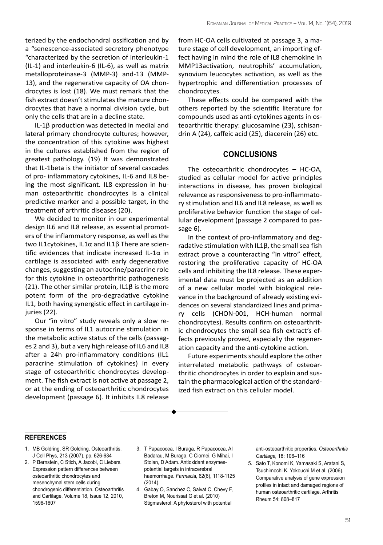terized by the endochondral ossification and by a "senescence-associated secretory phenotype "characterized by the secretion of interleukin-1 (IL-1) and interleukin-6 (IL-6), as well as matrix metalloproteinase-3 (MMP-3) and-13 (MMP-13), and the regenerative capacity of OA chondrocytes is lost (18). We must remark that the fish extract doesn't stimulates the mature chondrocytes that have a normal division cycle, but only the cells that are in a decline state.

IL-1β production was detected in medial and lateral primary chondrocyte cultures; however, the concentration of this cytokine was highest in the cultures established from the region of greatest pathology. (19) It was demonstrated that IL-1beta is the initiator of several cascades of pro- inflammatory cytokines, IL-6 and IL8 being the most significant. IL8 expression in human osteoarthritic chondrocytes is a clinical predictive marker and a possible target, in the treatment of arthritic diseases (20).

We decided to monitor in our experimental design IL6 and IL8 release, as essential promoters of the inflammatory response, as well as the two IL1cytokines, IL1α and IL1β There are scientific evidences that indicate increased IL-1 $\alpha$  in cartilage is associated with early degenerative changes, suggesting an autocrine/paracrine role for this cytokine in osteoarthritic pathogenesis (21). The other similar protein, IL1 $\beta$  is the more potent form of the pro-degradative cytokine IL1, both having synergistic effect in cartilage injuries (22).

Our "in vitro" study reveals only a slow response in terms of IL1 autocrine stimulation in the metabolic active status of the cells (passages 2 and 3), but a very high release of IL6 and IL8 after a 24h pro-inflammatory conditions (IL1 paracrine stimulation of cytokines) in every stage of osteoarthritic chondrocytes development. The fish extract is not active at passage 2, or at the ending of osteoarthritic chondrocytes development (passage 6). It inhibits IL8 release from HC-OA cells cultivated at passage 3, a mature stage of cell development, an importing effect having in mind the role of IL8 chemokine in MMP13activation, neutrophils' accumulation, synovium leucocytes activation, as well as the hypertrophic and differentiation processes of chondrocytes.

These effects could be compared with the others reported by the scientific literature for compounds used as anti-cytokines agents in osteoarthritic therapy: glucosamine (23), schisandrin A (24), caffeic acid (25), diacerein (26) etc.

### **CONCLUSIONS**

The osteoarthritic chondrocytes – HC-OA, studied as cellular model for active principles interactions in disease, has proven biological relevance as responsiveness to pro-inflammatory stimulation and IL6 and IL8 release, as well as proliferative behavior function the stage of cellular development (passage 2 compared to passage 6).

In the context of pro-inflammatory and degradative stimulation with IL1β, the small sea fish extract prove a counteracting "in vitro" effect, restoring the proliferative capacity of HC-OA cells and inhibiting the IL8 release. These experimental data must be projected as an addition of a new cellular model with biological relevance in the background of already existing evidences on several standardized lines and primary cells (CHON-001, HCH-human normal chondrocytes). Results confirm on osteoarthritic chondrocytes the small sea fish extract's effects previously proved, especially the regeneration capacity and the anti-cytokine action.

Future experiments should explore the other interrelated metabolic pathways of osteoarthritic chondrocytes in order to explain and sustain the pharmacological action of the standardized fish extract on this cellular model.

#### **references**

- 1. MB Goldring, SR Goldring. Osteoarthritis. J Cell Phys, 213 (2007), pp. 626-634
- 2. P Bernstein, C Stich, A Jacobi, C Liebers. Expression pattern differences between osteoarthritic chondrocytes and mesenchymal stem cells during chondrogenic differentiation. [Osteoarthritis](https://www.sciencedirect.com/science/journal/10634584) [and Cartilage](https://www.sciencedirect.com/science/journal/10634584), [Volume 18, Issue 12](https://www.sciencedirect.com/science/journal/10634584/18/12), 2010, 1596-1607
- 3. T Papacocea, I Buraga, R Papacocea, AI Badarau, M Buraga, C Ciornei, G Mihai, I Stoian, D Adam. Antioxidant enzymespotential targets in intracerebral haemorrhage. *Farmacia,* 62(6), 1118-1125 (2014).
- 4. Gabay O, Sanchez C, Salvat C, Chevy F, Breton M, Nourissat G et al. (2010) Stigmasterol: A phytosterol with potential

anti-osteoarthritic properties. *Osteoarthritis Cartilage,* 18: 106–116

5. Sato T, Konomi K, Yamasaki S, Aratani S, Tsuchimochi K, Yokouchi M et al. (2006). Comparative analysis of gene expression profiles in intact and damaged regions of human osteoarthritic cartilage. Arthritis Rheum 54: 808–817